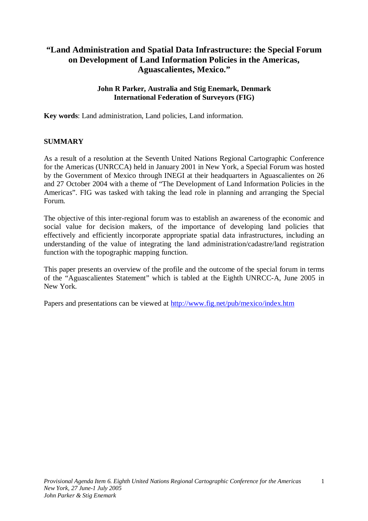# **"Land Administration and Spatial Data Infrastructure: the Special Forum on Development of Land Information Policies in the Americas, Aguascalientes, Mexico."**

### **John R Parker, Australia and Stig Enemark, Denmark International Federation of Surveyors (FIG)**

**Key words**: Land administration, Land policies, Land information.

## **SUMMARY**

As a result of a resolution at the Seventh United Nations Regional Cartographic Conference for the Americas (UNRCCA) held in January 2001 in New York, a Special Forum was hosted by the Government of Mexico through INEGI at their headquarters in Aguascalientes on 26 and 27 October 2004 with a theme of "The Development of Land Information Policies in the Americas". FIG was tasked with taking the lead role in planning and arranging the Special Forum.

The objective of this inter-regional forum was to establish an awareness of the economic and social value for decision makers, of the importance of developing land policies that effectively and efficiently incorporate appropriate spatial data infrastructures, including an understanding of the value of integrating the land administration/cadastre/land registration function with the topographic mapping function.

This paper presents an overview of the profile and the outcome of the special forum in terms of the "Aguascalientes Statement" which is tabled at the Eighth UNRCC-A, June 2005 in New York.

Papers and presentations can be viewed at http://www.fig.net/pub/mexico/index.htm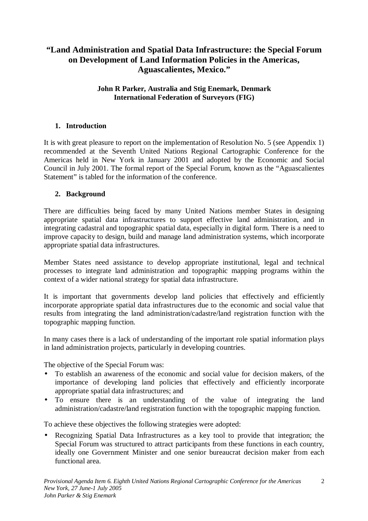# **"Land Administration and Spatial Data Infrastructure: the Special Forum on Development of Land Information Policies in the Americas, Aguascalientes, Mexico."**

## **John R Parker, Australia and Stig Enemark, Denmark International Federation of Surveyors (FIG)**

## **1. Introduction**

It is with great pleasure to report on the implementation of Resolution No. 5 (see Appendix 1) recommended at the Seventh United Nations Regional Cartographic Conference for the Americas held in New York in January 2001 and adopted by the Economic and Social Council in July 2001. The formal report of the Special Forum, known as the "Aguascalientes Statement" is tabled for the information of the conference.

## **2. Background**

There are difficulties being faced by many United Nations member States in designing appropriate spatial data infrastructures to support effective land administration, and in integrating cadastral and topographic spatial data, especially in digital form. There is a need to improve capacity to design, build and manage land administration systems, which incorporate appropriate spatial data infrastructures.

Member States need assistance to develop appropriate institutional, legal and technical processes to integrate land administration and topographic mapping programs within the context of a wider national strategy for spatial data infrastructure.

It is important that governments develop land policies that effectively and efficiently incorporate appropriate spatial data infrastructures due to the economic and social value that results from integrating the land administration/cadastre/land registration function with the topographic mapping function.

In many cases there is a lack of understanding of the important role spatial information plays in land administration projects, particularly in developing countries.

The objective of the Special Forum was:

- To establish an awareness of the economic and social value for decision makers, of the importance of developing land policies that effectively and efficiently incorporate appropriate spatial data infrastructures; and
- To ensure there is an understanding of the value of integrating the land administration/cadastre/land registration function with the topographic mapping function.

To achieve these objectives the following strategies were adopted:

• Recognizing Spatial Data Infrastructures as a key tool to provide that integration; the Special Forum was structured to attract participants from these functions in each country, ideally one Government Minister and one senior bureaucrat decision maker from each functional area.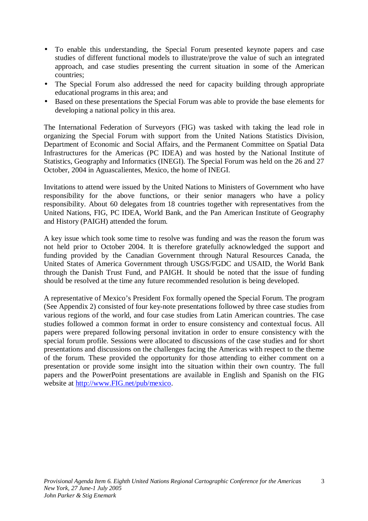- To enable this understanding, the Special Forum presented keynote papers and case studies of different functional models to illustrate/prove the value of such an integrated approach, and case studies presenting the current situation in some of the American countries;
- The Special Forum also addressed the need for capacity building through appropriate educational programs in this area; and
- Based on these presentations the Special Forum was able to provide the base elements for developing a national policy in this area.

The International Federation of Surveyors (FIG) was tasked with taking the lead role in organizing the Special Forum with support from the United Nations Statistics Division, Department of Economic and Social Affairs, and the Permanent Committee on Spatial Data Infrastructures for the Americas (PC IDEA) and was hosted by the National Institute of Statistics, Geography and Informatics (INEGI). The Special Forum was held on the 26 and 27 October, 2004 in Aguascalientes, Mexico, the home of INEGI.

Invitations to attend were issued by the United Nations to Ministers of Government who have responsibility for the above functions, or their senior managers who have a policy responsibility. About 60 delegates from 18 countries together with representatives from the United Nations, FIG, PC IDEA, World Bank, and the Pan American Institute of Geography and History (PAIGH) attended the forum.

A key issue which took some time to resolve was funding and was the reason the forum was not held prior to October 2004. It is therefore gratefully acknowledged the support and funding provided by the Canadian Government through Natural Resources Canada, the United States of America Government through USGS/FGDC and USAID, the World Bank through the Danish Trust Fund, and PAIGH. It should be noted that the issue of funding should be resolved at the time any future recommended resolution is being developed.

A representative of Mexico's President Fox formally opened the Special Forum. The program (See Appendix 2) consisted of four key-note presentations followed by three case studies from various regions of the world, and four case studies from Latin American countries. The case studies followed a common format in order to ensure consistency and contextual focus. All papers were prepared following personal invitation in order to ensure consistency with the special forum profile. Sessions were allocated to discussions of the case studies and for short presentations and discussions on the challenges facing the Americas with respect to the theme of the forum. These provided the opportunity for those attending to either comment on a presentation or provide some insight into the situation within their own country. The full papers and the PowerPoint presentations are available in English and Spanish on the FIG website at http://www.FIG.net/pub/mexico.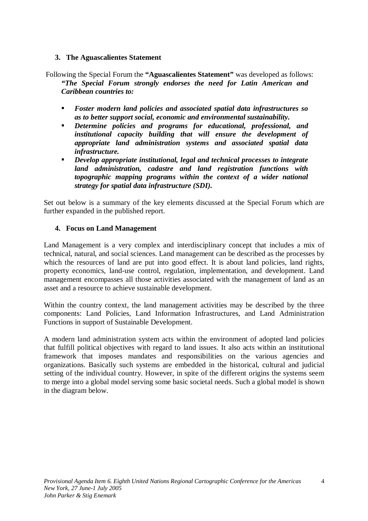## **3. The Aguascalientes Statement**

Following the Special Forum the **"Aguascalientes Statement"** was developed as follows: *"The Special Forum strongly endorses the need for Latin American and Caribbean countries to:* 

- *Foster modern land policies and associated spatial data infrastructures so as to better support social, economic and environmental sustainability.*
- *Determine policies and programs for educational, professional, and institutional capacity building that will ensure the development of appropriate land administration systems and associated spatial data infrastructure.*
- **Develop appropriate institutional, legal and technical processes to integrate in administration, cadastre and land registration functions with land administration, cadastre and land registration functions with** *topographic mapping programs within the context of a wider national strategy for spatial data infrastructure (SDI).*

Set out below is a summary of the key elements discussed at the Special Forum which are further expanded in the published report.

## **4. Focus on Land Management**

Land Management is a very complex and interdisciplinary concept that includes a mix of technical, natural, and social sciences. Land management can be described as the processes by which the resources of land are put into good effect. It is about land policies, land rights, property economics, land-use control, regulation, implementation, and development. Land management encompasses all those activities associated with the management of land as an asset and a resource to achieve sustainable development.

Within the country context, the land management activities may be described by the three components: Land Policies, Land Information Infrastructures, and Land Administration Functions in support of Sustainable Development.

A modern land administration system acts within the environment of adopted land policies that fulfill political objectives with regard to land issues. It also acts within an institutional framework that imposes mandates and responsibilities on the various agencies and organizations. Basically such systems are embedded in the historical, cultural and judicial setting of the individual country. However, in spite of the different origins the systems seem to merge into a global model serving some basic societal needs. Such a global model is shown in the diagram below.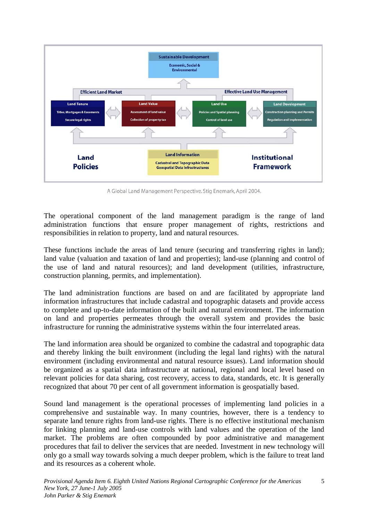

A Global Land Management Perspective. Stig Enemark, April 2004.

The operational component of the land management paradigm is the range of land administration functions that ensure proper management of rights, restrictions and responsibilities in relation to property, land and natural resources.

These functions include the areas of land tenure (securing and transferring rights in land); land value (valuation and taxation of land and properties); land-use (planning and control of the use of land and natural resources); and land development (utilities, infrastructure, construction planning, permits, and implementation).

The land administration functions are based on and are facilitated by appropriate land information infrastructures that include cadastral and topographic datasets and provide access to complete and up-to-date information of the built and natural environment. The information on land and properties permeates through the overall system and provides the basic infrastructure for running the administrative systems within the four interrelated areas.

The land information area should be organized to combine the cadastral and topographic data and thereby linking the built environment (including the legal land rights) with the natural environment (including environmental and natural resource issues). Land information should be organized as a spatial data infrastructure at national, regional and local level based on relevant policies for data sharing, cost recovery, access to data, standards, etc. It is generally recognized that about 70 per cent of all government information is geospatially based.

Sound land management is the operational processes of implementing land policies in a comprehensive and sustainable way. In many countries, however, there is a tendency to separate land tenure rights from land-use rights. There is no effective institutional mechanism for linking planning and land-use controls with land values and the operation of the land market. The problems are often compounded by poor administrative and management procedures that fail to deliver the services that are needed. Investment in new technology will only go a small way towards solving a much deeper problem, which is the failure to treat land and its resources as a coherent whole.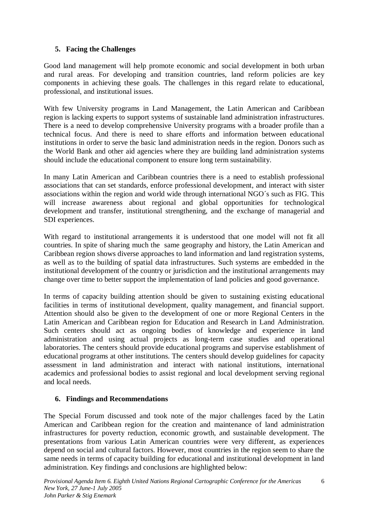# **5. Facing the Challenges**

Good land management will help promote economic and social development in both urban and rural areas. For developing and transition countries, land reform policies are key components in achieving these goals. The challenges in this regard relate to educational, professional, and institutional issues.

With few University programs in Land Management, the Latin American and Caribbean region is lacking experts to support systems of sustainable land administration infrastructures. There is a need to develop comprehensive University programs with a broader profile than a technical focus. And there is need to share efforts and information between educational institutions in order to serve the basic land administration needs in the region. Donors such as the World Bank and other aid agencies where they are building land administration systems should include the educational component to ensure long term sustainability.

In many Latin American and Caribbean countries there is a need to establish professional associations that can set standards, enforce professional development, and interact with sister associations within the region and world wide through international NGO´s such as FIG. This will increase awareness about regional and global opportunities for technological development and transfer, institutional strengthening, and the exchange of managerial and SDI experiences.

With regard to institutional arrangements it is understood that one model will not fit all countries. In spite of sharing much the same geography and history, the Latin American and Caribbean region shows diverse approaches to land information and land registration systems, as well as to the building of spatial data infrastructures. Such systems are embedded in the institutional development of the country or jurisdiction and the institutional arrangements may change over time to better support the implementation of land policies and good governance.

In terms of capacity building attention should be given to sustaining existing educational facilities in terms of institutional development, quality management, and financial support. Attention should also be given to the development of one or more Regional Centers in the Latin American and Caribbean region for Education and Research in Land Administration. Such centers should act as ongoing bodies of knowledge and experience in land administration and using actual projects as long-term case studies and operational laboratories. The centers should provide educational programs and supervise establishment of educational programs at other institutions. The centers should develop guidelines for capacity assessment in land administration and interact with national institutions, international academics and professional bodies to assist regional and local development serving regional and local needs.

# **6. Findings and Recommendations**

The Special Forum discussed and took note of the major challenges faced by the Latin American and Caribbean region for the creation and maintenance of land administration infrastructures for poverty reduction, economic growth, and sustainable development. The presentations from various Latin American countries were very different, as experiences depend on social and cultural factors. However, most countries in the region seem to share the same needs in terms of capacity building for educational and institutional development in land administration. Key findings and conclusions are highlighted below:

6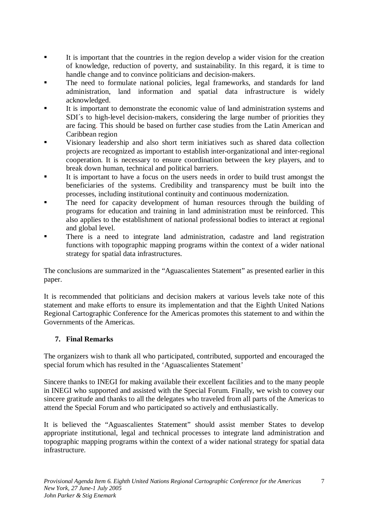- It is important that the countries in the region develop a wider vision for the creation of knowledge, reduction of poverty, and sustainability. In this regard, it is time to handle change and to convince politicians and decision-makers.
- The need to formulate national policies, legal frameworks, and standards for land administration, land information and spatial data infrastructure is widely acknowledged.
- It is important to demonstrate the economic value of land administration systems and SDI´s to high-level decision-makers, considering the large number of priorities they are facing. This should be based on further case studies from the Latin American and Caribbean region
- Visionary leadership and also short term initiatives such as shared data collection projects are recognized as important to establish inter-organizational and inter-regional cooperation. It is necessary to ensure coordination between the key players, and to break down human, technical and political barriers.
- It is important to have a focus on the users needs in order to build trust amongst the beneficiaries of the systems. Credibility and transparency must be built into the processes, including institutional continuity and continuous modernization.
- The need for capacity development of human resources through the building of programs for education and training in land administration must be reinforced. This also applies to the establishment of national professional bodies to interact at regional and global level.
- There is a need to integrate land administration, cadastre and land registration functions with topographic mapping programs within the context of a wider national strategy for spatial data infrastructures.

The conclusions are summarized in the "Aguascalientes Statement" as presented earlier in this paper.

It is recommended that politicians and decision makers at various levels take note of this statement and make efforts to ensure its implementation and that the Eighth United Nations Regional Cartographic Conference for the Americas promotes this statement to and within the Governments of the Americas.

# **7. Final Remarks**

The organizers wish to thank all who participated, contributed, supported and encouraged the special forum which has resulted in the 'Aguascalientes Statement'

Sincere thanks to INEGI for making available their excellent facilities and to the many people in INEGI who supported and assisted with the Special Forum. Finally, we wish to convey our sincere gratitude and thanks to all the delegates who traveled from all parts of the Americas to attend the Special Forum and who participated so actively and enthusiastically.

It is believed the "Aguascalientes Statement" should assist member States to develop appropriate institutional, legal and technical processes to integrate land administration and topographic mapping programs within the context of a wider national strategy for spatial data infrastructure.

7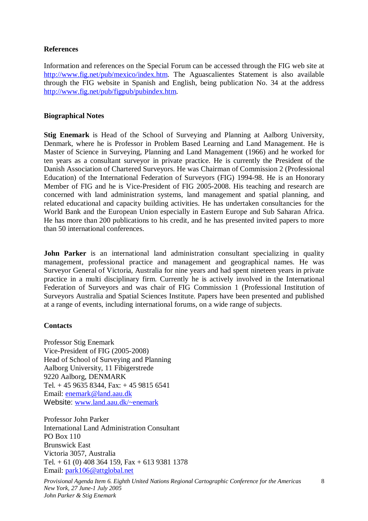## **References**

Information and references on the Special Forum can be accessed through the FIG web site at http://www.fig.net/pub/mexico/index.htm. The Aguascalientes Statement is also available through the FIG website in Spanish and English, being publication No. 34 at the address http://www.fig.net/pub/figpub/pubindex.htm.

## **Biographical Notes**

**Stig Enemark** is Head of the School of Surveying and Planning at Aalborg University, Denmark, where he is Professor in Problem Based Learning and Land Management. He is Master of Science in Surveying, Planning and Land Management (1966) and he worked for ten years as a consultant surveyor in private practice. He is currently the President of the Danish Association of Chartered Surveyors. He was Chairman of Commission 2 (Professional Education) of the International Federation of Surveyors (FIG) 1994-98. He is an Honorary Member of FIG and he is Vice-President of FIG 2005-2008. His teaching and research are concerned with land administration systems, land management and spatial planning, and related educational and capacity building activities. He has undertaken consultancies for the World Bank and the European Union especially in Eastern Europe and Sub Saharan Africa. He has more than 200 publications to his credit, and he has presented invited papers to more than 50 international conferences.

**John Parker** is an international land administration consultant specializing in quality management, professional practice and management and geographical names. He was Surveyor General of Victoria, Australia for nine years and had spent nineteen years in private practice in a multi disciplinary firm. Currently he is actively involved in the International Federation of Surveyors and was chair of FIG Commission 1 (Professional Institution of Surveyors Australia and Spatial Sciences Institute. Papers have been presented and published at a range of events, including international forums, on a wide range of subjects.

## **Contacts**

Professor Stig Enemark Vice-President of FIG (2005-2008) Head of School of Surveying and Planning Aalborg University, 11 Fibigerstrede 9220 Aalborg, DENMARK Tel. + 45 9635 8344, Fax: + 45 9815 6541 Email: enemark@land.aau.dk Website: www.land.aau.dk/~enemark

Professor John Parker International Land Administration Consultant PO Box 110 Brunswick East Victoria 3057, Australia Tel.  $+ 61 (0) 408 364 159$ , Fax  $+ 613 9381 1378$ Email: park106@attglobal.net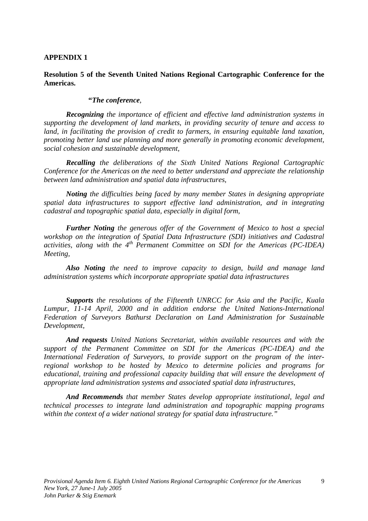#### **APPENDIX 1**

#### **Resolution 5 of the Seventh United Nations Regional Cartographic Conference for the Americas.**

#### **"***The conference,*

*Recognizing the importance of efficient and effective land administration systems in supporting the development of land markets, in providing security of tenure and access to land, in facilitating the provision of credit to farmers, in ensuring equitable land taxation, promoting better land use planning and more generally in promoting economic development, social cohesion and sustainable development,* 

*Recalling the deliberations of the Sixth United Nations Regional Cartographic Conference for the Americas on the need to better understand and appreciate the relationship between land administration and spatial data infrastructures,* 

*Noting the difficulties being faced by many member States in designing appropriate spatial data infrastructures to support effective land administration, and in integrating cadastral and topographic spatial data, especially in digital form,* 

*Further Noting the generous offer of the Government of Mexico to host a special workshop on the integration of Spatial Data Infrastructure (SDI) initiatives and Cadastral activities, along with the 4th Permanent Committee on SDI for the Americas (PC-IDEA) Meeting,* 

*Also Noting the need to improve capacity to design, build and manage land administration systems which incorporate appropriate spatial data infrastructures* 

*Supports the resolutions of the Fifteenth UNRCC for Asia and the Pacific, Kuala Lumpur, 11-14 April, 2000 and in addition endorse the United Nations-International Federation of Surveyors Bathurst Declaration on Land Administration for Sustainable Development,* 

*And requests United Nations Secretariat, within available resources and with the support of the Permanent Committee on SDI for the Americas (PC-IDEA) and the International Federation of Surveyors, to provide support on the program of the interregional workshop to be hosted by Mexico to determine policies and programs for educational, training and professional capacity building that will ensure the development of appropriate land administration systems and associated spatial data infrastructures,* 

*And Recommends that member States develop appropriate institutional, legal and technical processes to integrate land administration and topographic mapping programs within the context of a wider national strategy for spatial data infrastructure."*

9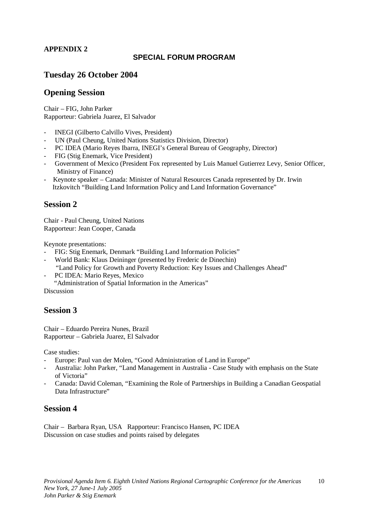# **APPENDIX 2**

### **SPECIAL FORUM PROGRAM**

# **Tuesday 26 October 2004**

# **Opening Session**

Chair – FIG, John Parker Rapporteur: Gabriela Juarez, El Salvador

- INEGI (Gilberto Calvillo Vives, President)
- UN (Paul Cheung, United Nations Statistics Division, Director)
- PC IDEA (Mario Reyes Ibarra, INEGI's General Bureau of Geography, Director)
- FIG (Stig Enemark, Vice President)
- Government of Mexico (President Fox represented by Luis Manuel Gutierrez Levy, Senior Officer, Ministry of Finance)
- Keynote speaker Canada: Minister of Natural Resources Canada represented by Dr. Irwin Itzkovitch "Building Land Information Policy and Land Information Governance"

#### **Session 2**

Chair - Paul Cheung, United Nations Rapporteur: Jean Cooper, Canada

Keynote presentations:

- FIG: Stig Enemark, Denmark "Building Land Information Policies"
- World Bank: Klaus Deininger (presented by Frederic de Dinechin) "Land Policy for Growth and Poverty Reduction: Key Issues and Challenges Ahead"
- PC IDEA: Mario Reyes, Mexico

"Administration of Spatial Information in the Americas"

Discussion

# **Session 3**

Chair – Eduardo Pereira Nunes, Brazil Rapporteur – Gabriela Juarez, El Salvador

Case studies:

- Europe: Paul van der Molen, "Good Administration of Land in Europe"
- Australia: John Parker, "Land Management in Australia Case Study with emphasis on the State of Victoria"
- Canada: David Coleman, "Examining the Role of Partnerships in Building a Canadian Geospatial Data Infrastructure"

## **Session 4**

Chair – Barbara Ryan, USA Rapporteur: Francisco Hansen, PC IDEA Discussion on case studies and points raised by delegates